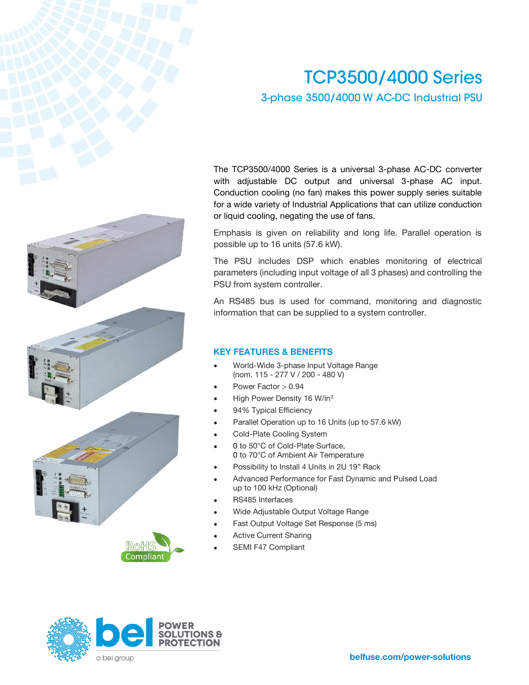# **TCP3500/4000 Series** 3-phase 3500/4000 W AC-DC Industrial PSU







The TCP3500/4000 Series is a universal 3-phase AC-DC converter with adjustable DC output and universal 3-phase AC input. Conduction cooling (no fan) makes this power supply series suitable for a wide variety of Industrial Applications that can utilize conduction or liquid cooling, negating the use of fans.

Emphasis is given on reliability and long life. Parallel operation is possible up to 16 units (57.6 kW).

The PSU includes DSP which enables monitoring of electrical parameters (including input voltage of all 3 phases) and controlling the PSU from system controller.

An RS485 bus is used for command, monitoring and diagnostic information that can be supplied to a system controller.

### **KEY FEATURES & BENEFITS**

- World-Wide 3-phase Input Voltage Range (nom. 115 - 277 V / 200 - 480 V)
- Power Factor > 0.94
- High Power Density 16 W/in<sup>3</sup>
- 94% Typical Efficiency
- Parallel Operation up to 16 Units (up to 57.6 kW)
- Cold-Plate Cooling System
- 0 to 50°C of Cold-Plate Surface, 0 to 70°C of Ambient Air Temperature
- Possibility to Install 4 Units in 2U 19" Rack
- Advanced Performance for Fast Dynamic and Pulsed Load up to 100 kHz (Optional)
- RS485 Interfaces
- Wide Adjustable Output Voltage Range
- Fast Output Voltage Set Response (5 ms)
- Active Current Sharing
- SEMI F47 Compliant

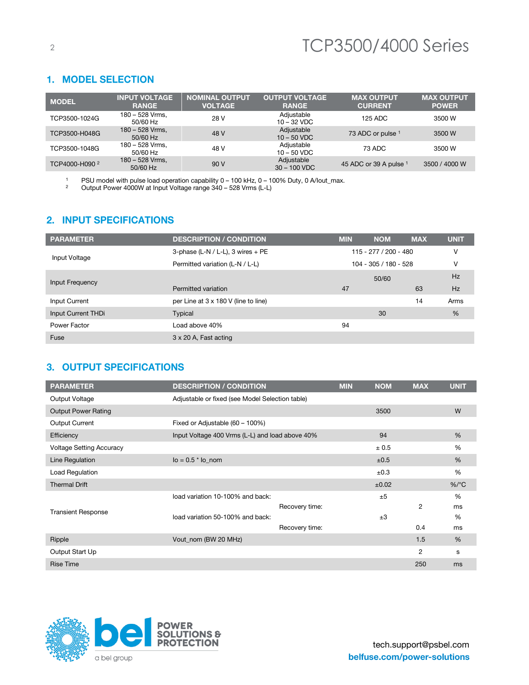### **1. MODEL SELECTION**

| <b>MODEL</b>              | <b>INPUT VOLTAGE</b><br><b>RANGE</b> | <b>NOMINAL OUTPUT</b><br><b>VOLTAGE</b> | <b>OUTPUT VOLTAGE</b><br><b>RANGE</b> | <b>MAX OUTPUT</b><br><b>CURRENT</b> | <b>MAX OUTPUT</b><br><b>POWER</b> |
|---------------------------|--------------------------------------|-----------------------------------------|---------------------------------------|-------------------------------------|-----------------------------------|
| TCP3500-1024G             | 180 - 528 Vrms,<br>$50/60$ Hz        | 28 V                                    | Adjustable<br>$10 - 32$ VDC           | 125 ADC                             | 3500 W                            |
| TCP3500-H048G             | 180 - 528 Vrms,<br>$50/60$ Hz        | 48 V                                    | Adjustable<br>$10 - 50$ VDC           | 73 ADC or pulse 1                   | 3500 W                            |
| TCP3500-1048G             | 180 - 528 Vrms,<br>$50/60$ Hz        | 48 V                                    | Adjustable<br>$10 - 50$ VDC           | 73 ADC                              | 3500 W                            |
| TCP4000-H090 <sup>2</sup> | 180 - 528 Vrms,<br>$50/60$ Hz        | 90V                                     | Adjustable<br>$30 - 100$ VDC          | 45 ADC or 39 A pulse 1              | 3500 / 4000 W                     |

<sup>1</sup> PSU model with pulse load operation capability  $0 - 100$  kHz,  $0 - 100$ % Duty, 0 A/lout\_max.

<sup>2</sup> Output Power 4000W at Input Voltage range 340 – 528 Vrms (L-L)

## 2. INPUT SPECIFICATIONS

| <b>PARAMETER</b>   | <b>DESCRIPTION / CONDITION</b>       | <b>MIN</b>            | <b>NOM</b>              | <b>MAX</b> | <b>UNIT</b> |
|--------------------|--------------------------------------|-----------------------|-------------------------|------------|-------------|
|                    | 3-phase (L-N / L-L), 3 wires $+$ PE  |                       | $115 - 277 / 200 - 480$ |            | ٧           |
| Input Voltage      | Permitted variation (L-N / L-L)      | 104 - 305 / 180 - 528 |                         |            | v           |
|                    |                                      | 50/60                 |                         |            | Hz          |
| Input Frequency    | Permitted variation                  | 47                    |                         | 63         | Hz          |
| Input Current      | per Line at 3 x 180 V (line to line) |                       |                         | 14         | Arms        |
| Input Current THDi | Typical                              |                       | 30                      |            | %           |
| Power Factor       | Load above 40%                       | 94                    |                         |            |             |
| Fuse               | 3 x 20 A, Fast acting                |                       |                         |            |             |

## **3. OUTPUT SPECIFICATIONS**

| <b>PARAMETER</b>                | <b>DESCRIPTION / CONDITION</b>                  |                | <b>MIN</b> | <b>NOM</b> | <b>MAX</b> | <b>UNIT</b>   |
|---------------------------------|-------------------------------------------------|----------------|------------|------------|------------|---------------|
| Output Voltage                  | Adjustable or fixed (see Model Selection table) |                |            |            |            |               |
| <b>Output Power Rating</b>      |                                                 |                |            | 3500       |            | W             |
| Output Current                  | Fixed or Adjustable (60 - 100%)                 |                |            |            |            |               |
| Efficiency                      | Input Voltage 400 Vrms (L-L) and load above 40% |                |            | 94         |            | %             |
| <b>Voltage Setting Accuracy</b> |                                                 |                |            | ± 0.5      |            | %             |
| Line Regulation                 | $\log$ = 0.5 $*$ lo nom                         |                |            | ±0.5       |            | $\frac{0}{6}$ |
| Load Regulation                 |                                                 |                |            | ±0.3       |            | $\frac{9}{6}$ |
| <b>Thermal Drift</b>            |                                                 |                |            | ±0.02      |            | $%$ /°C       |
|                                 | load variation 10-100% and back:                |                |            | ±5         |            | %             |
| <b>Transient Response</b>       |                                                 | Recovery time: |            |            | 2          | ms            |
|                                 | load variation 50-100% and back:                |                |            | ±3         |            | %             |
|                                 |                                                 | Recovery time: |            |            | 0.4        | ms            |
| Ripple                          | Vout_nom (BW 20 MHz)                            |                |            |            | 1.5        | $\frac{0}{6}$ |
| Output Start Up                 |                                                 |                |            |            | 2          | s             |
| <b>Rise Time</b>                |                                                 |                |            |            | 250        | ms            |

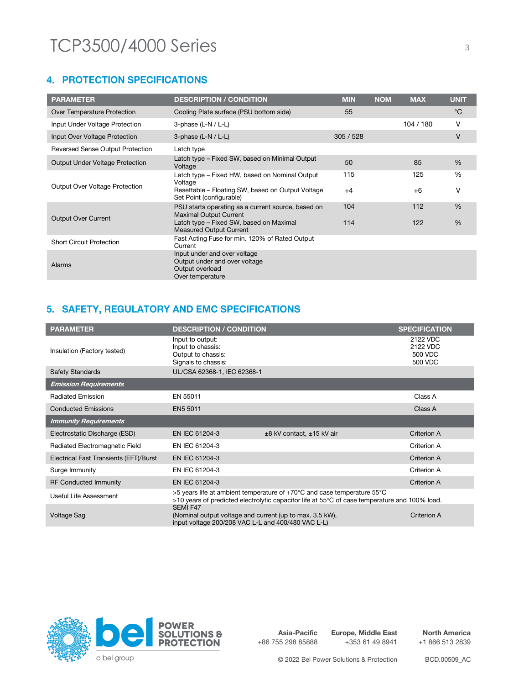## **4. PROTECTION SPECIFICATIONS**

| <b>PARAMETER</b>                        | <b>DESCRIPTION / CONDITION</b>                                                                       | <b>MIN</b> | <b>NOM</b> | <b>MAX</b> | <b>UNIT</b>   |
|-----------------------------------------|------------------------------------------------------------------------------------------------------|------------|------------|------------|---------------|
| Over Temperature Protection             | Cooling Plate surface (PSU bottom side)                                                              | 55         |            |            | $^{\circ}C$   |
| Input Under Voltage Protection          | 3-phase $(L-N/L-L)$                                                                                  |            |            | 104/180    | v             |
| Input Over Voltage Protection           | 3-phase $(L-N/L-L)$                                                                                  | 305/528    |            |            | V             |
| <b>Reversed Sense Output Protection</b> | Latch type                                                                                           |            |            |            |               |
| <b>Output Under Voltage Protection</b>  | Latch type – Fixed SW, based on Minimal Output<br>Voltage                                            | 50         |            | 85         | $\frac{0}{6}$ |
|                                         | Latch type – Fixed HW, based on Nominal Output<br>Voltage                                            | 115        |            | 125        | %             |
| Output Over Voltage Protection          | Resettable – Floating SW, based on Output Voltage<br>Set Point (configurable)                        | $+4$       |            | $+6$       | $\vee$        |
|                                         | PSU starts operating as a current source, based on<br><b>Maximal Output Current</b>                  | 104        |            | 112        | $\%$          |
| <b>Output Over Current</b>              | Latch type - Fixed SW, based on Maximal<br><b>Measured Output Current</b>                            | 114        |            | 122        | $\frac{0}{6}$ |
| <b>Short Circuit Protection</b>         | Fast Acting Fuse for min. 120% of Rated Output<br>Current                                            |            |            |            |               |
| <b>Alarms</b>                           | Input under and over voltage<br>Output under and over voltage<br>Output overload<br>Over temperature |            |            |            |               |

## 5. SAFETY, REGULATORY AND EMC SPECIFICATIONS

| <b>PARAMETER</b>                       | <b>DESCRIPTION / CONDITION</b>                                                                                 |                                                                                                                                                                          | <b>SPECIFICATION</b>                       |
|----------------------------------------|----------------------------------------------------------------------------------------------------------------|--------------------------------------------------------------------------------------------------------------------------------------------------------------------------|--------------------------------------------|
| Insulation (Factory tested)            | Input to output:<br>Input to chassis:<br>Output to chassis:<br>Signals to chassis:                             |                                                                                                                                                                          | 2122 VDC<br>2122 VDC<br>500 VDC<br>500 VDC |
| <b>Safety Standards</b>                | UL/CSA 62368-1, IEC 62368-1                                                                                    |                                                                                                                                                                          |                                            |
| <b>Emission Requirements</b>           |                                                                                                                |                                                                                                                                                                          |                                            |
| <b>Radiated Emission</b>               | EN 55011                                                                                                       |                                                                                                                                                                          | Class A                                    |
| <b>Conducted Emissions</b>             | EN5 5011                                                                                                       |                                                                                                                                                                          | Class A                                    |
| <b>Immunity Requirements</b>           |                                                                                                                |                                                                                                                                                                          |                                            |
| Electrostatic Discharge (ESD)          | EN IEC 61204-3                                                                                                 | $\pm 8$ kV contact, $\pm 15$ kV air                                                                                                                                      | Criterion A                                |
| Radiated Electromagnetic Field         | EN IEC 61204-3                                                                                                 |                                                                                                                                                                          | Criterion A                                |
| Electrical Fast Transients (EFT)/Burst | EN IEC 61204-3                                                                                                 |                                                                                                                                                                          | <b>Criterion A</b>                         |
| Surge Immunity                         | EN IEC 61204-3                                                                                                 |                                                                                                                                                                          | Criterion A                                |
| <b>RF Conducted Immunity</b>           | EN IEC 61204-3                                                                                                 |                                                                                                                                                                          | Criterion A                                |
| Useful Life Assessment                 | SEMI F47                                                                                                       | >5 years life at ambient temperature of +70°C and case temperature 55°C<br>>10 years of predicted electrolytic capacitor life at 55°C of case temperature and 100% load. |                                            |
| <b>Voltage Sag</b>                     | (Nominal output voltage and current (up to max. 3.5 kW),<br>input voltage 200/208 VAC L-L and 400/480 VAC L-L) |                                                                                                                                                                          | Criterion A                                |



**Asia-Pacific** +86 755 298 85888 **Europe, Middle East** +353 61 49 8941

**North America** +1 866 513 2839

© 2022 Bel Power Solutions & Protection BCD.00509\_AC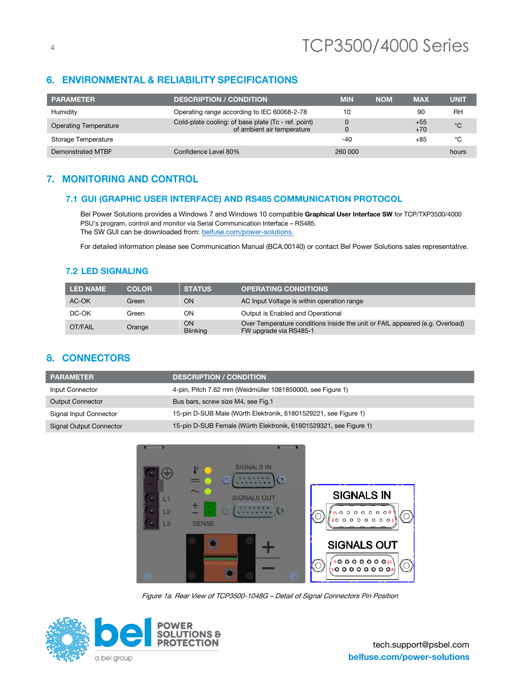# **6. ENVIRONMENTAL & RELIABILITY SPECIFICATIONS**

| <b>PARAMETER</b>             | <b>DESCRIPTION / CONDITION</b>                                                    | <b>MIN</b> | <b>NOM</b> | <b>MAX</b>     | <b>UNIT</b> |
|------------------------------|-----------------------------------------------------------------------------------|------------|------------|----------------|-------------|
| Humidity                     | Operating range according to IEC 60068-2-78                                       | 10         |            | 90             | <b>RH</b>   |
| <b>Operating Temperature</b> | Cold-plate cooling: of base plate (Tc - ref. point)<br>of ambient air temperature |            |            | $+55$<br>$+70$ | $^{\circ}C$ |
| Storage Temperature          |                                                                                   | -40        |            | +85            | °C          |
| Demonstrated MTBF            | Confidence Level 80%                                                              | 260 000    |            |                | hours       |

# 7. MONITORING AND CONTROL

### **7.1 GUI (GRAPHIC USER INTERFACE) AND RS485 COMMUNICATION PROTOCOL**

Bel Power Solutions provides a Windows 7 and Windows 10 compatible **Graphical User Interface SW** for TCP/TXP3500/4000 PSU's program, control and monitor via Serial Communication Interface – RS485. The SW GUI can be downloaded from[: belfuse.com/power-solutions.](https://belfuse.com/power-solutions)

For detailed information please see Communication Manual (BCA.00140) or contact Bel Power Solutions sales representative.

### **7.2 LED SIGNALING**

| <b>LED NAME</b> | <b>COLOR</b> | <b>STATUS</b>         | <b>OPERATING CONDITIONS</b>                                                                            |
|-----------------|--------------|-----------------------|--------------------------------------------------------------------------------------------------------|
| AC-OK           | Green        | ΟN                    | AC Input Voltage is within operation range                                                             |
| DC-OK           | Green        | ΟN                    | Output is Enabled and Operational                                                                      |
| OT/FAIL         | Orange       | OΝ<br><b>Blinking</b> | Over Temperature conditions inside the unit or FAIL appeared (e.g. Overload)<br>FW upgrade via RS485-1 |

## **8. CONNECTORS**

| <b>PARAMETER</b>        | <b>DESCRIPTION / CONDITION</b>                                    |
|-------------------------|-------------------------------------------------------------------|
| Input Connector         | 4-pin, Pitch 7.62 mm (Weidmüller 1081850000, see Figure 1)        |
| <b>Output Connector</b> | Bus bars, screw size M4, see Fig.1                                |
| Signal Input Connector  | 15-pin D-SUB Male (Würth Elektronik, 61801529221, see Figure 1)   |
| Signal Output Connector | 15-pin D-SUB Female (Würth Elektronik, 61801529321, see Figure 1) |



Figure 1a. Rear View of TCP3500-1048G – Detail of Signal Connectors Pin Position

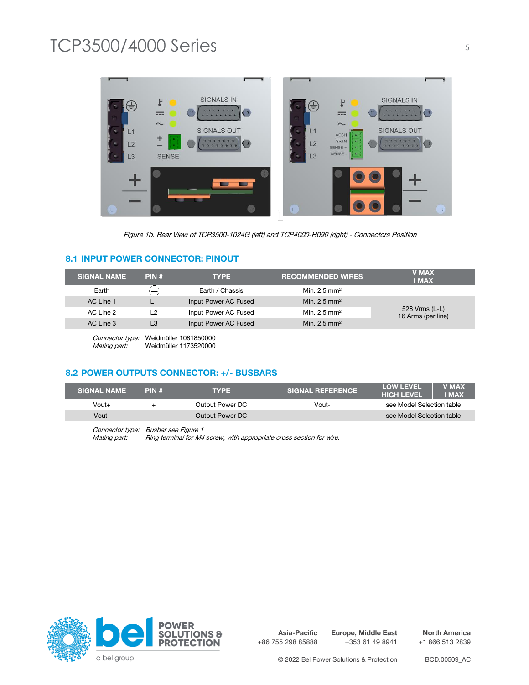

Figure 1b. Rear View of TCP3500-1024G (left) and TCP4000-H090 (right) - Connectors Position

#### **8.1 INPUT POWER CONNECTOR: PINOUT**

| <b>SIGNAL NAME</b> | PIN# | <b>TYPE</b>          | <b>RECOMMENDED WIRES</b> | <b>V MAX</b><br><b>I MAX</b>         |
|--------------------|------|----------------------|--------------------------|--------------------------------------|
| Earth              | ま    | Earth / Chassis      | Min. $2.5 \text{ mm}^2$  |                                      |
| AC Line 1          | L1   | Input Power AC Fused | Min. $2.5 \text{ mm}^2$  |                                      |
| AC Line 2          | 12   | Input Power AC Fused | Min. $2.5 \text{ mm}^2$  | 528 Vrms (L-L)<br>16 Arms (per line) |
| AC Line 3          | L3   | Input Power AC Fused | Min. $2.5 \text{ mm}^2$  |                                      |

Connector type: Weidmüller 1081850000<br>
Mating part: Weidmüller 1173520000 Weidmüller 1173520000

### **8.2 POWER OUTPUTS CONNECTOR: +/- BUSBARS**

| <b>SIGNAL NAME</b> | PIN#                     | <b>TYPE</b>     | <b>SIGNAL REFERENCE</b>  | <b>LOW LEVEL</b><br><b>V MAX</b><br><b>HIGH LEVEL</b><br><b>I MAX</b> |
|--------------------|--------------------------|-----------------|--------------------------|-----------------------------------------------------------------------|
| $V$ out $+$        |                          | Output Power DC | Vout-                    | see Model Selection table                                             |
| Vout-              | $\overline{\phantom{0}}$ | Output Power DC | $\overline{\phantom{0}}$ | see Model Selection table                                             |
|                    |                          |                 |                          |                                                                       |

Connector type: Busbar see Figure 1<br>Mating part: Ring terminal for M4 Ring terminal for M4 screw, with appropriate cross section for wire.



**Asia-Pacific** +86 755 298 85888 **Europe, Middle East**

+353 61 49 8941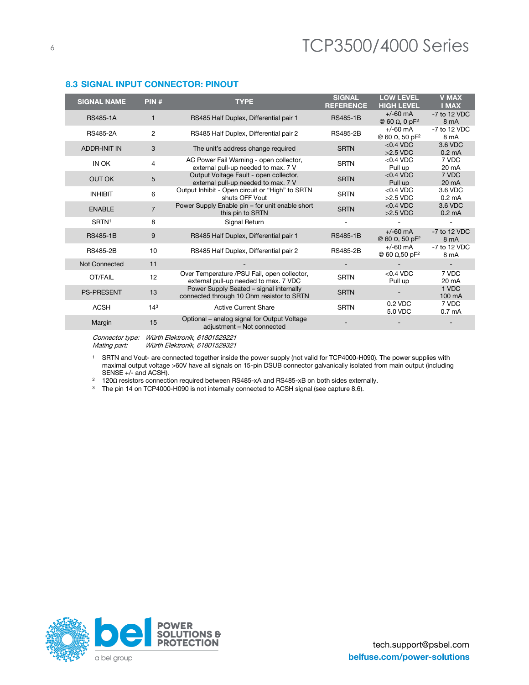| <b>SIGNAL NAME</b>   | PIN#            | <b>TYPE</b>                                                                          | <b>SIGNAL</b><br><b>REFERENCE</b> | <b>LOW LEVEL</b><br><b>HIGH LEVEL</b>           | <b>V MAX</b><br><b>I MAX</b> |
|----------------------|-----------------|--------------------------------------------------------------------------------------|-----------------------------------|-------------------------------------------------|------------------------------|
| <b>RS485-1A</b>      | 1.              | RS485 Half Duplex, Differential pair 1                                               | <b>RS485-1B</b>                   | $+/-60$ mA<br>@ 60 $\Omega$ , 0 pF <sup>2</sup> | -7 to 12 VDC<br>8 mA         |
| <b>RS485-2A</b>      | 2               | RS485 Half Duplex, Differential pair 2                                               | <b>RS485-2B</b>                   | $+/-60$ mA<br>@ 60 Ω, 50 pF <sup>2</sup>        | -7 to 12 VDC<br>8 mA         |
| <b>ADDR-INIT IN</b>  | 3               | The unit's address change required                                                   | <b>SRTN</b>                       | $<$ 0.4 VDC<br>$>2.5$ VDC                       | 3.6 VDC<br>$0.2 \text{ mA}$  |
| IN OK                | 4               | AC Power Fail Warning - open collector,<br>external pull-up needed to max. 7 V       | <b>SRTN</b>                       | $< 0.4$ VDC<br>Pull up                          | 7 VDC<br>20 mA               |
| <b>OUT OK</b>        | 5               | Output Voltage Fault - open collector,<br>external pull-up needed to max, 7 V        | <b>SRTN</b>                       | $< 0.4$ VDC<br>Pull up                          | 7 VDC<br>$20 \text{ mA}$     |
| <b>INHIBIT</b>       | 6               | Output Inhibit - Open circuit or "High" to SRTN<br>shuts OFF Vout                    | <b>SRTN</b>                       | $<$ 0.4 VDC<br>$>2.5$ VDC                       | 3.6 VDC<br>$0.2 \text{ mA}$  |
| <b>ENABLE</b>        | $\overline{7}$  | Power Supply Enable pin - for unit enable short<br>this pin to SRTN                  | <b>SRTN</b>                       | $<$ 0.4 VDC<br>$>2.5$ VDC                       | 3.6 VDC<br>$0.2 \text{ mA}$  |
| SRTN <sup>1</sup>    | 8               | Signal Return                                                                        |                                   |                                                 |                              |
| <b>RS485-1B</b>      | 9               | RS485 Half Duplex, Differential pair 1                                               | <b>RS485-1B</b>                   | $+/-60$ mA<br>@ 60 Ω, 50 pF <sup>2</sup>        | -7 to 12 VDC<br>8 mA         |
| <b>RS485-2B</b>      | 10              | RS485 Half Duplex, Differential pair 2                                               | <b>RS485-2B</b>                   | $+/-60$ mA<br>@ 60 Ω,50 pF <sup>2</sup>         | -7 to 12 VDC<br>8 mA         |
| <b>Not Connected</b> | 11              |                                                                                      |                                   |                                                 |                              |
| OT/FAIL              | 12              | Over Temperature /PSU Fail, open collector,<br>external pull-up needed to max. 7 VDC | <b>SRTN</b>                       | $<$ 0.4 VDC<br>Pull up                          | 7 VDC<br>20 mA               |
| <b>PS-PRESENT</b>    | 13              | Power Supply Seated - signal internally<br>connected through 10 Ohm resistor to SRTN | <b>SRTN</b>                       |                                                 | 1 VDC<br>100 mA              |
| <b>ACSH</b>          | 14 <sup>3</sup> | <b>Active Current Share</b>                                                          | <b>SRTN</b>                       | 0.2 VDC<br>5.0 VDC                              | 7 VDC<br>0.7 <sub>mA</sub>   |
| Margin               | 15              | Optional - analog signal for Output Voltage<br>adjustment - Not connected            |                                   |                                                 |                              |
|                      |                 |                                                                                      |                                   |                                                 |                              |

#### **8.3 SIGNAL INPUT CONNECTOR: PINOUT**

Connector type: Würth Elektronik, 61801529221<br>Mating part: Würth Elektronik, 61801529321

Würth Elektronik, 61801529321

<sup>1</sup> SRTN and Vout- are connected together inside the power supply (not valid for TCP4000-H090). The power supplies with maximal output voltage >60V have all signals on 15-pin DSUB connector galvanically isolated from main output (including SENSE +/- and ACSH).

<sup>2</sup> 120Ω resistors connection required between RS485-xA and RS485-xB on both sides externally.

<sup>3</sup> The pin 14 on TCP4000-H090 is not internally connected to ACSH signal (see capture 8.6).

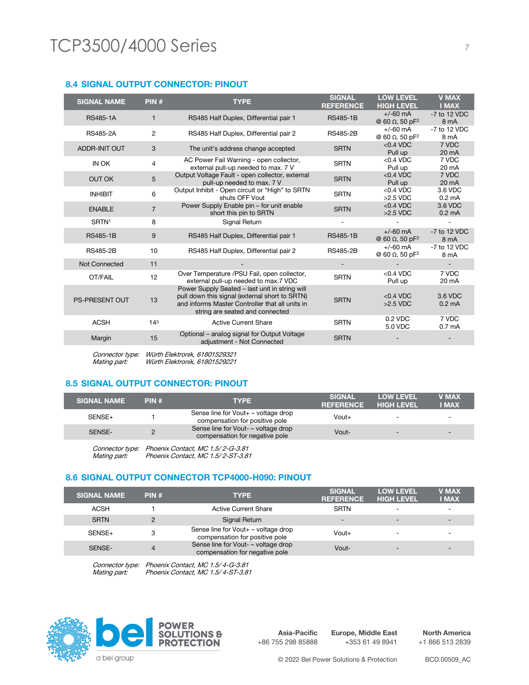#### **8.4 SIGNAL OUTPUT CONNECTOR: PINOUT**

| <b>SIGNAL NAME</b>    | PIN#            | <b>TYPE</b>                                                                                                                                                                            | <b>SIGNAL</b><br><b>REFERENCE</b> | <b>LOW LEVEL</b><br><b>HIGH LEVEL</b>            | <b>V MAX</b><br><b>I MAX</b> |
|-----------------------|-----------------|----------------------------------------------------------------------------------------------------------------------------------------------------------------------------------------|-----------------------------------|--------------------------------------------------|------------------------------|
| <b>RS485-1A</b>       | 1               | RS485 Half Duplex, Differential pair 1                                                                                                                                                 | <b>RS485-1B</b>                   | $+/-60$ mA<br>$@$ 60 Ω, 50 pF <sup>2</sup>       | -7 to 12 VDC<br>8 mA         |
| RS485-2A              | $\overline{c}$  | RS485 Half Duplex, Differential pair 2                                                                                                                                                 | <b>RS485-2B</b>                   | $+/-60$ mA<br>@ 60 Ω, 50 pF <sup>2</sup>         | -7 to 12 VDC<br>8 mA         |
| <b>ADDR-INIT OUT</b>  | 3               | The unit's address change accepted                                                                                                                                                     | <b>SRTN</b>                       | $< 0.4$ VDC<br>Pull up                           | 7 VDC<br>20 mA               |
| IN OK                 | 4               | AC Power Fail Warning - open collector,<br>external pull-up needed to max. 7 V                                                                                                         | <b>SRTN</b>                       | $< 0.4$ VDC<br>Pull up                           | 7 VDC<br>20 mA               |
| <b>OUT OK</b>         | 5               | Output Voltage Fault - open collector, external<br>pull-up needed to max. 7 V                                                                                                          | <b>SRTN</b>                       | $< 0.4$ VDC<br>Pull up                           | 7 VDC<br>20 mA               |
| <b>INHIBIT</b>        | 6               | Output Inhibit - Open circuit or "High" to SRTN<br>shuts OFF Vout                                                                                                                      | <b>SRTN</b>                       | $<$ 0.4 VDC<br>$>2.5$ VDC                        | 3.6 VDC<br>$0.2 \text{ mA}$  |
| <b>ENABLE</b>         | $\overline{7}$  | Power Supply Enable pin - for unit enable<br>short this pin to SRTN                                                                                                                    | <b>SRTN</b>                       | $<$ 0.4 VDC<br>$>2.5$ VDC                        | 3.6 VDC<br>$0.2 \text{ mA}$  |
| SRTN <sup>1</sup>     | 8               | Signal Return                                                                                                                                                                          |                                   |                                                  |                              |
| <b>RS485-1B</b>       | 9               | RS485 Half Duplex, Differential pair 1                                                                                                                                                 | <b>RS485-1B</b>                   | $+/-60$ mA<br>@ 60 $\Omega$ , 50 pF <sup>2</sup> | $-7$ to 12 VDC<br>8 mA       |
| <b>RS485-2B</b>       | 10              | RS485 Half Duplex, Differential pair 2                                                                                                                                                 | <b>RS485-2B</b>                   | $+/-60$ mA<br>$@$ 60 Ω, 50 pF <sup>2</sup>       | -7 to 12 VDC<br>8 mA         |
| <b>Not Connected</b>  | 11              |                                                                                                                                                                                        |                                   |                                                  |                              |
| OT/FAIL               | 12              | Over Temperature /PSU Fail, open collector,<br>external pull-up needed to max.7 VDC                                                                                                    | <b>SRTN</b>                       | $< 0.4$ VDC<br>Pull up                           | 7 VDC<br>20 mA               |
| <b>PS-PRESENT OUT</b> | 13              | Power Supply Seated - last unit in string will<br>pull down this signal (external short to SRTN)<br>and informs Master Controller that all units in<br>string are seated and connected | <b>SRTN</b>                       | $<$ 0.4 VDC<br>$>2.5$ VDC                        | 3.6 VDC<br>$0.2 \text{ mA}$  |
| <b>ACSH</b>           | 14 <sup>3</sup> | <b>Active Current Share</b>                                                                                                                                                            | <b>SRTN</b>                       | 0.2 VDC<br>5.0 VDC                               | 7 VDC<br>0.7 <sub>m</sub> A  |
| Margin                | 15              | Optional - analog signal for Output Voltage<br>adjustment - Not Connected                                                                                                              | <b>SRTN</b>                       |                                                  |                              |
|                       |                 | Connector type: Mijirth Elektronik 61801520321                                                                                                                                         |                                   |                                                  |                              |

Connector type: Würth Elektronik, 618015293 Mating part: Würth Elektronik, 61801529221

### **8.5 SIGNAL OUTPUT CONNECTOR: PINOUT**

| <b>SIGNAL NAME</b> | PIN# | <b>TYPE</b>                                                           | <b>SIGNAL</b><br><b>REFERENCE</b> | <b>LOW LEVEL</b><br><b>HIGH LEVEL</b> | <b>V MAX</b><br><b>I MAX</b> |
|--------------------|------|-----------------------------------------------------------------------|-----------------------------------|---------------------------------------|------------------------------|
| SENSE+             |      | Sense line for Vout+ – voltage drop<br>compensation for positive pole | $V$ out+                          |                                       | $\overline{\phantom{0}}$     |
| SENSE-             |      | Sense line for Vout- - voltage drop<br>compensation for negative pole | Vout-                             | $\overline{\phantom{0}}$              |                              |
|                    |      |                                                                       |                                   |                                       |                              |

Connector type: Phoenix Contact, MC 1.5/ 2-G-3.81 Mating part: Phoenix Contact, MC 1.5/2-ST-3.81

#### **8.6 SIGNAL OUTPUT CONNECTOR TCP4000-H090: PINOUT**

| <b>SIGNAL NAME</b> | PIN# | <b>TYPE</b>                                                           | <b>SIGNAL</b><br><b>REFERENCE</b> | <b>LOW LEVEL</b><br><b>HIGH LEVEL</b> | <b>V MAX</b><br><b>I MAX</b> |
|--------------------|------|-----------------------------------------------------------------------|-----------------------------------|---------------------------------------|------------------------------|
| ACSH               |      | <b>Active Current Share</b>                                           | <b>SRTN</b>                       |                                       |                              |
| <b>SRTN</b>        |      | Signal Return                                                         | $\overline{\phantom{a}}$          | $\overline{\phantom{0}}$              | $\overline{\phantom{0}}$     |
| SENSE+             | 3    | Sense line for Vout+ - voltage drop<br>compensation for positive pole | $V$ out+                          |                                       |                              |
| <b>SENSE-</b>      |      | Sense line for Vout- - voltage drop<br>compensation for negative pole | Vout-                             | -                                     | $\overline{\phantom{0}}$     |
|                    |      |                                                                       |                                   |                                       |                              |

Connector type: Phoenix Contact, MC 1.5/ 4-G-3.81 Phoenix Contact, MC 1.5/ 4-ST-3.81



**Asia-Pacific** +86 755 298 85888

**Europe, Middle East** +353 61 49 8941

**North America** +1 866 513 2839

© 2022 Bel Power Solutions & Protection BCD.00509\_AC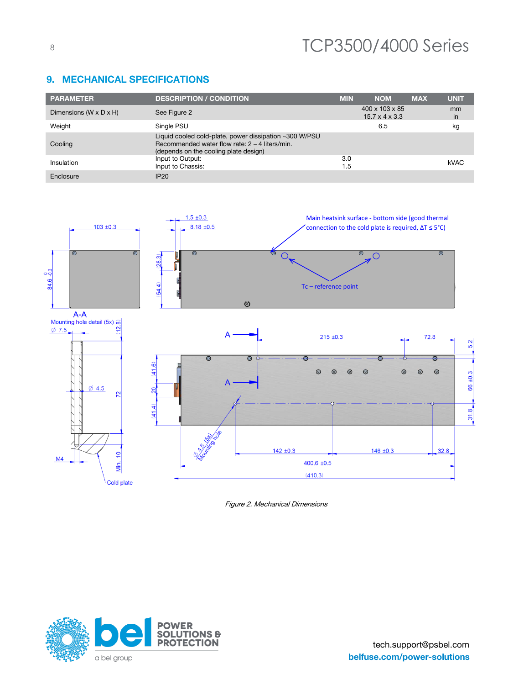| <b>PARAMETER</b>                   | <b>DESCRIPTION / CONDITION</b>                                                                                                                      | <b>MIN</b> | <b>NOM</b>                                               | <b>MAX</b> | <b>UNIT</b> |
|------------------------------------|-----------------------------------------------------------------------------------------------------------------------------------------------------|------------|----------------------------------------------------------|------------|-------------|
| Dimensions $(W \times D \times H)$ | See Figure 2                                                                                                                                        |            | $400 \times 103 \times 85$<br>$15.7 \times 4 \times 3.3$ |            | mm<br>in    |
| Weight                             | Single PSU                                                                                                                                          |            | 6.5                                                      |            | kg          |
| Cooling                            | Liquid cooled cold-plate, power dissipation ~300 W/PSU<br>Recommended water flow rate: $2 - 4$ liters/min.<br>(depends on the cooling plate design) |            |                                                          |            |             |
| Insulation                         | Input to Output:<br>Input to Chassis:                                                                                                               | 3.0<br>1.5 |                                                          |            | <b>kVAC</b> |
| Enclosure                          | <b>IP20</b>                                                                                                                                         |            |                                                          |            |             |

#### $1.5 \pm 0.3$ Main heatsink surface - bottom side (good thermal  $103 \pm 0.3$  $8.18 \pm 0.5$ connection to the cold plate is required, ∆T ≤ 5°C) ෧  $\overline{\odot}$  $\circledcirc$ ൳  $\overline{O}$  $\overline{O}$  $(28.3)$ ſ 84.6 -0.3 54.4) Tc – reference point $\circledcirc$



Figure 2. Mechanical Dimensions



9. MECHANICAL SPECIFICATIONS